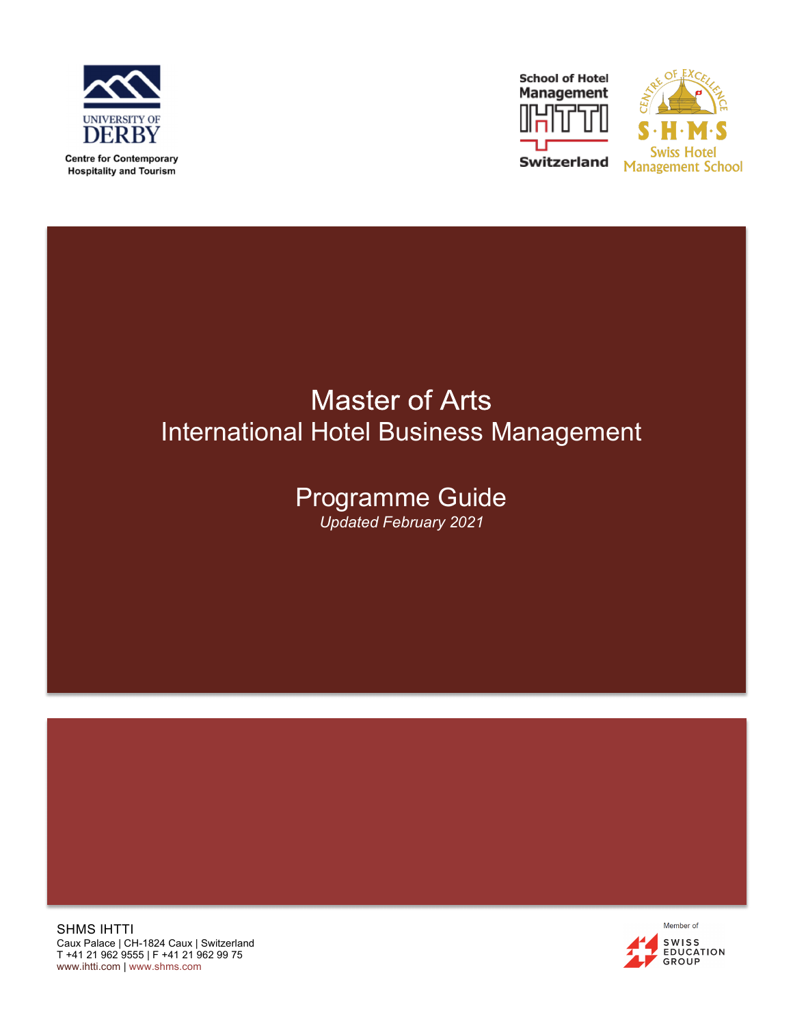





# **Master of Arts** International Hotel Business Management

### Programme Guide *Updated February 2021*

SHMS IHTTI Caux Palace | CH-1824 Caux | Switzerland T +41 21 962 9555 | F +41 21 962 99 75 www.ihtti.com | www.shms.com

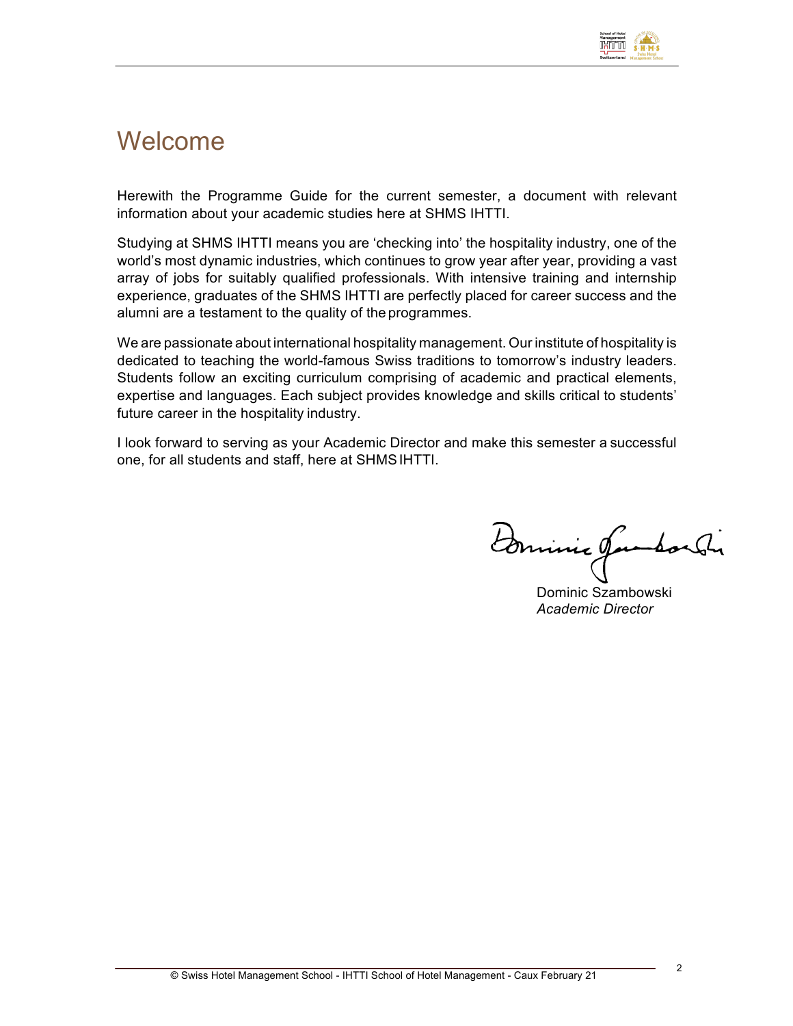

### Welcome

Herewith the Programme Guide for the current semester, a document with relevant information about your academic studies here at SHMS IHTTI.

Studying at SHMS IHTTI means you are 'checking into' the hospitality industry, one of the world's most dynamic industries, which continues to grow year after year, providing a vast array of jobs for suitably qualified professionals. With intensive training and internship experience, graduates of the SHMS IHTTI are perfectly placed for career success and the alumni are a testament to the quality of the programmes.

We are passionate about international hospitality management. Our institute of hospitality is dedicated to teaching the world-famous Swiss traditions to tomorrow's industry leaders. Students follow an exciting curriculum comprising of academic and practical elements, expertise and languages. Each subject provides knowledge and skills critical to students' future career in the hospitality industry.

I look forward to serving as your Academic Director and make this semester a successful one, for all students and staff, here at SHMSIHTTI.

Dominic Jambor Sir

Dominic Szambowski *Academic Director*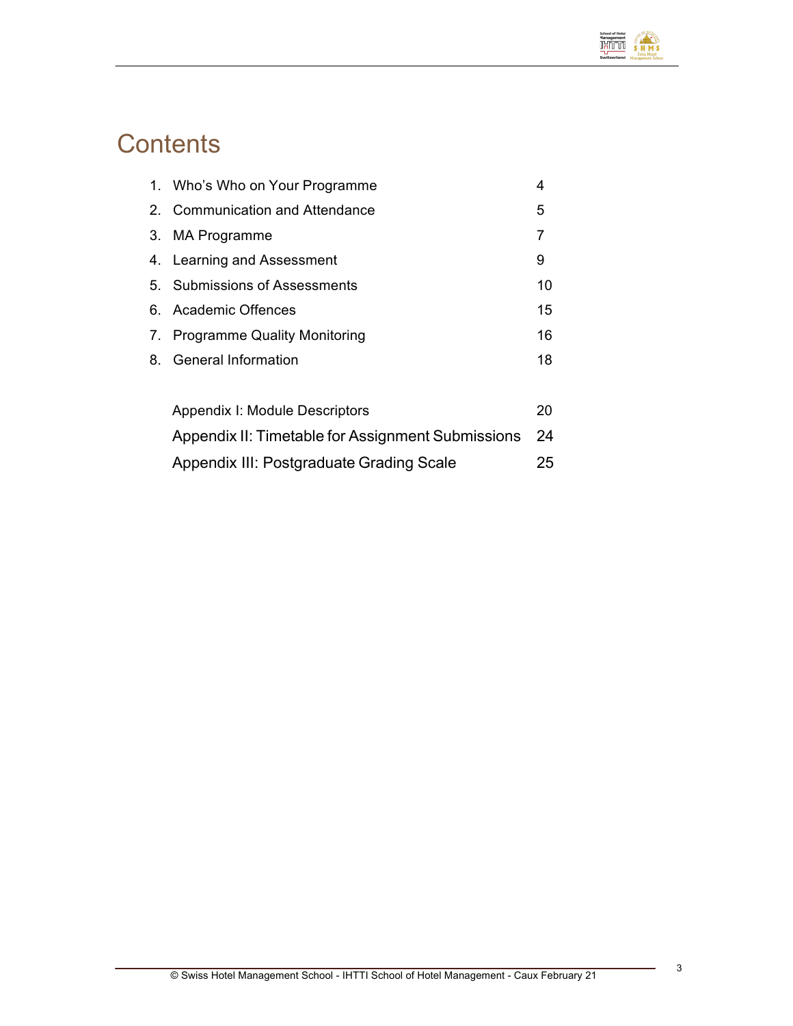

# **Contents**

|                | 1. Who's Who on Your Programme                    | 4  |
|----------------|---------------------------------------------------|----|
| 2 <sup>2</sup> | <b>Communication and Attendance</b>               | 5  |
| 3.             | <b>MA Programme</b>                               | 7  |
|                | 4. Learning and Assessment                        | 9  |
|                | 5. Submissions of Assessments                     | 10 |
|                | 6. Academic Offences                              | 15 |
| 7.             | <b>Programme Quality Monitoring</b>               | 16 |
| 8.             | General Information                               | 18 |
|                |                                                   |    |
|                | Appendix I: Module Descriptors                    | 20 |
|                | Appendix II: Timetable for Assignment Submissions | 24 |
|                | Appendix III: Postgraduate Grading Scale          | 25 |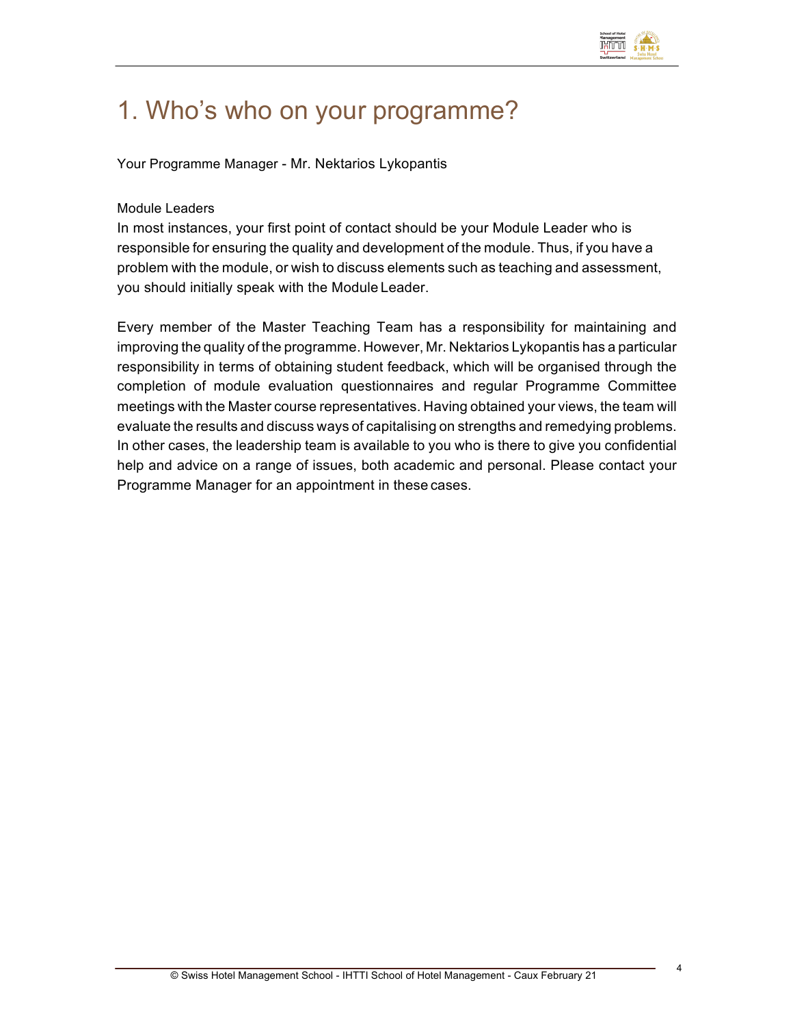

# 1. Who's who on your programme?

Your Programme Manager - Mr. Nektarios Lykopantis

#### Module Leaders

In most instances, your first point of contact should be your Module Leader who is responsible for ensuring the quality and development of the module. Thus, if you have a problem with the module, or wish to discuss elements such as teaching and assessment, you should initially speak with the Module Leader.

Every member of the Master Teaching Team has a responsibility for maintaining and improving the quality of the programme. However, Mr. Nektarios Lykopantis has a particular responsibility in terms of obtaining student feedback, which will be organised through the completion of module evaluation questionnaires and regular Programme Committee meetings with the Master course representatives. Having obtained your views, the team will evaluate the results and discuss ways of capitalising on strengths and remedying problems. In other cases, the leadership team is available to you who is there to give you confidential help and advice on a range of issues, both academic and personal. Please contact your Programme Manager for an appointment in these cases.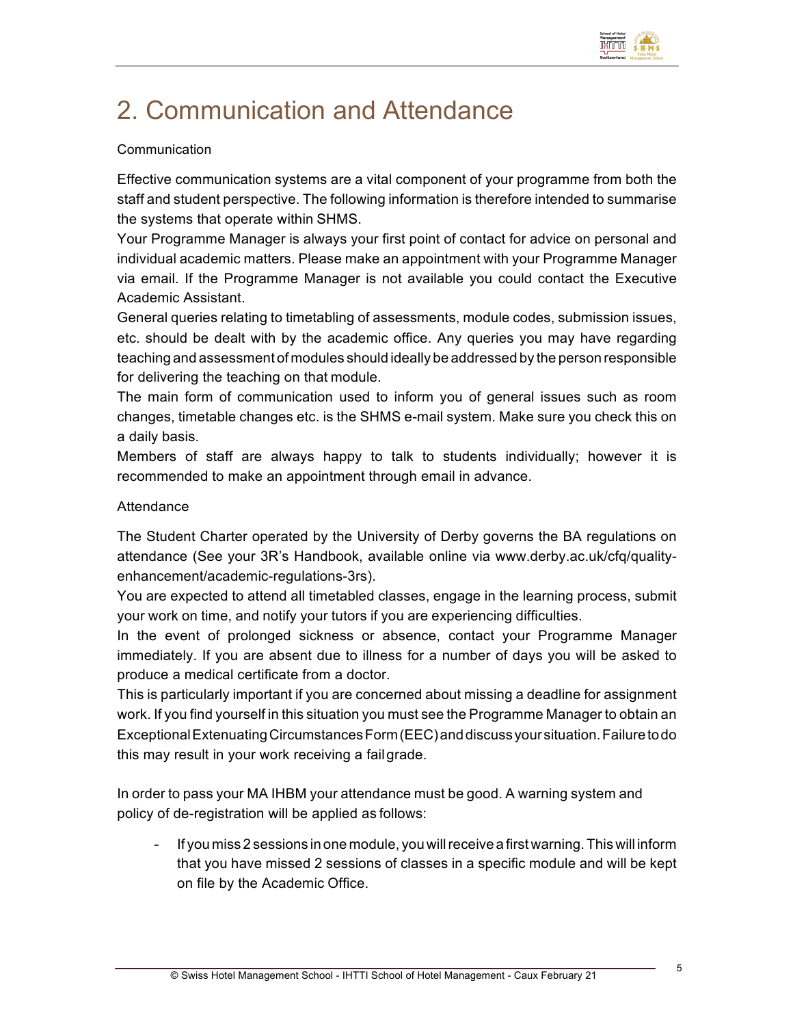

# 2. Communication and Attendance

#### Communication

Effective communication systems are a vital component of your programme from both the staff and student perspective. The following information is therefore intended to summarise the systems that operate within SHMS.

Your Programme Manager is always your first point of contact for advice on personal and individual academic matters. Please make an appointment with your Programme Manager via email. If the Programme Manager is not available you could contact the Executive Academic Assistant.

General queries relating to timetabling of assessments, module codes, submission issues, etc. should be dealt with by the academic office. Any queries you may have regarding teaching and assessment of modules should ideally be addressed by the person responsible for delivering the teaching on that module.

The main form of communication used to inform you of general issues such as room changes, timetable changes etc. is the SHMS e-mail system. Make sure you check this on a daily basis.

Members of staff are always happy to talk to students individually; however it is recommended to make an appointment through email in advance.

#### **Attendance**

The Student Charter operated by the University of Derby governs the BA regulations on attendance (See your 3R's Handbook, available online via www.derby.ac.uk/cfq/qualityenhancement/academic-regulations-3rs).

You are expected to attend all timetabled classes, engage in the learning process, submit your work on time, and notify your tutors if you are experiencing difficulties.

In the event of prolonged sickness or absence, contact your Programme Manager immediately. If you are absent due to illness for a number of days you will be asked to produce a medical certificate from a doctor.

This is particularly important if you are concerned about missing a deadline for assignment work. If you find yourself in this situation you must see the Programme Manager to obtain an ExceptionalExtenuatingCircumstancesForm(EEC)anddiscussyoursituation.Failuretodo this may result in your work receiving a failgrade.

In order to pass your MA IHBM your attendance must be good. A warning system and policy of de-registration will be applied as follows:

If you miss 2 sessions in one module, you will receive a first warning. This will inform that you have missed 2 sessions of classes in a specific module and will be kept on file by the Academic Office.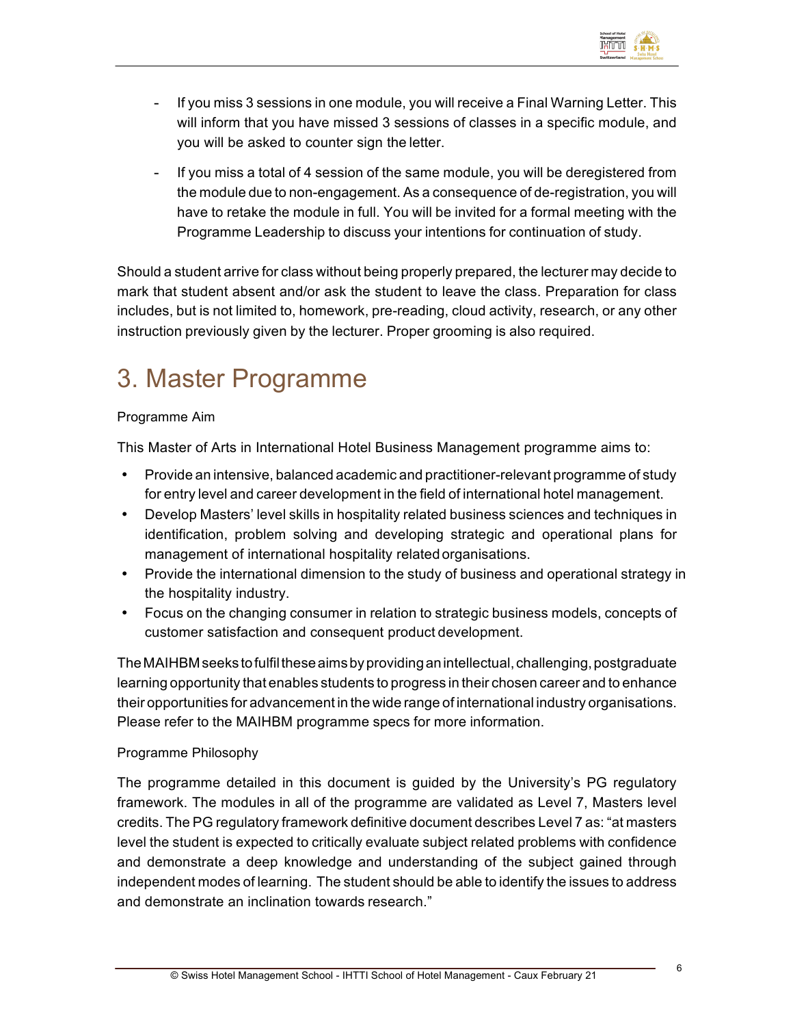

- If you miss 3 sessions in one module, you will receive a Final Warning Letter. This will inform that you have missed 3 sessions of classes in a specific module, and you will be asked to counter sign the letter.
- If you miss a total of 4 session of the same module, you will be deregistered from the module due to non-engagement. As a consequence of de-registration, you will have to retake the module in full. You will be invited for a formal meeting with the Programme Leadership to discuss your intentions for continuation of study.

Should a student arrive for class without being properly prepared, the lecturer may decide to mark that student absent and/or ask the student to leave the class. Preparation for class includes, but is not limited to, homework, pre-reading, cloud activity, research, or any other instruction previously given by the lecturer. Proper grooming is also required.

# 3. Master Programme

#### Programme Aim

This Master of Arts in International Hotel Business Management programme aims to:

- Provide an intensive, balanced academic and practitioner-relevant programme of study for entry level and career development in the field of international hotel management.
- Develop Masters' level skills in hospitality related business sciences and techniques in identification, problem solving and developing strategic and operational plans for management of international hospitality related organisations.
- Provide the international dimension to the study of business and operational strategy in the hospitality industry.
- Focus on the changing consumer in relation to strategic business models, concepts of customer satisfaction and consequent product development.

The MAIHBM seeks to fulfil these aims by providing an intellectual, challenging, postgraduate learning opportunity that enables students to progress in their chosen career and to enhance their opportunities for advancement in the wide range of international industry organisations. Please refer to the MAIHBM programme specs for more information.

#### Programme Philosophy

The programme detailed in this document is guided by the University's PG regulatory framework. The modules in all of the programme are validated as Level 7, Masters level credits. The PG regulatory framework definitive document describes Level 7 as: "at masters level the student is expected to critically evaluate subject related problems with confidence and demonstrate a deep knowledge and understanding of the subject gained through independent modes of learning. The student should be able to identify the issues to address and demonstrate an inclination towards research."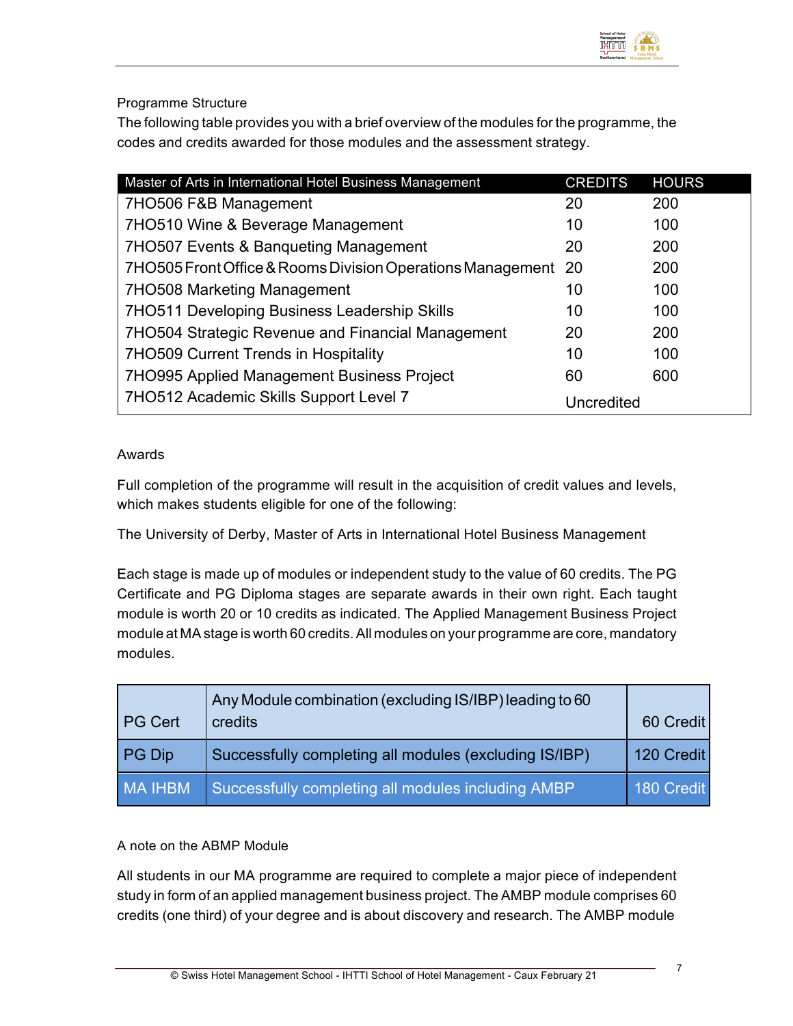

Programme Structure

The following table provides you with a brief overview of the modules for the programme, the codes and credits awarded for those modules and the assessment strategy.

| Master of Arts in International Hotel Business Management  | <b>CREDITS</b> | <b>HOURS</b> |
|------------------------------------------------------------|----------------|--------------|
| 7HO506 F&B Management                                      | 20             | 200          |
| 7HO510 Wine & Beverage Management                          | 10             | 100          |
| 7HO507 Events & Banqueting Management                      | 20             | 200          |
| 7HO505 Front Office & Rooms Division Operations Management | 20             | 200          |
| 7HO508 Marketing Management                                | 10             | 100          |
| 7HO511 Developing Business Leadership Skills               | 10             | 100          |
| 7HO504 Strategic Revenue and Financial Management          | 20             | 200          |
| 7HO509 Current Trends in Hospitality                       | 10             | 100          |
| 7HO995 Applied Management Business Project                 | 60             | 600          |
| 7HO512 Academic Skills Support Level 7                     | Uncredited     |              |

#### Awards

Full completion of the programme will result in the acquisition of credit values and levels, which makes students eligible for one of the following:

The University of Derby, Master of Arts in International Hotel Business Management

Each stage is made up of modules or independent study to the value of 60 credits. The PG Certificate and PG Diploma stages are separate awards in their own right. Each taught module is worth 20 or 10 credits as indicated. The Applied Management Business Project module at MAstage is worth 60 credits.All modules on your programme are core, mandatory modules.

| <b>PG Cert</b> | Any Module combination (excluding IS/IBP) leading to 60<br>credits | 60 Credit  |
|----------------|--------------------------------------------------------------------|------------|
| <b>PG Dip</b>  | Successfully completing all modules (excluding IS/IBP)             | 120 Credit |
| MA IHBM        | Successfully completing all modules including AMBP                 | 180 Credit |

#### A note on the ABMP Module

All students in our MA programme are required to complete a major piece of independent study in form of an applied management business project. The AMBP module comprises 60 credits (one third) of your degree and is about discovery and research. The AMBP module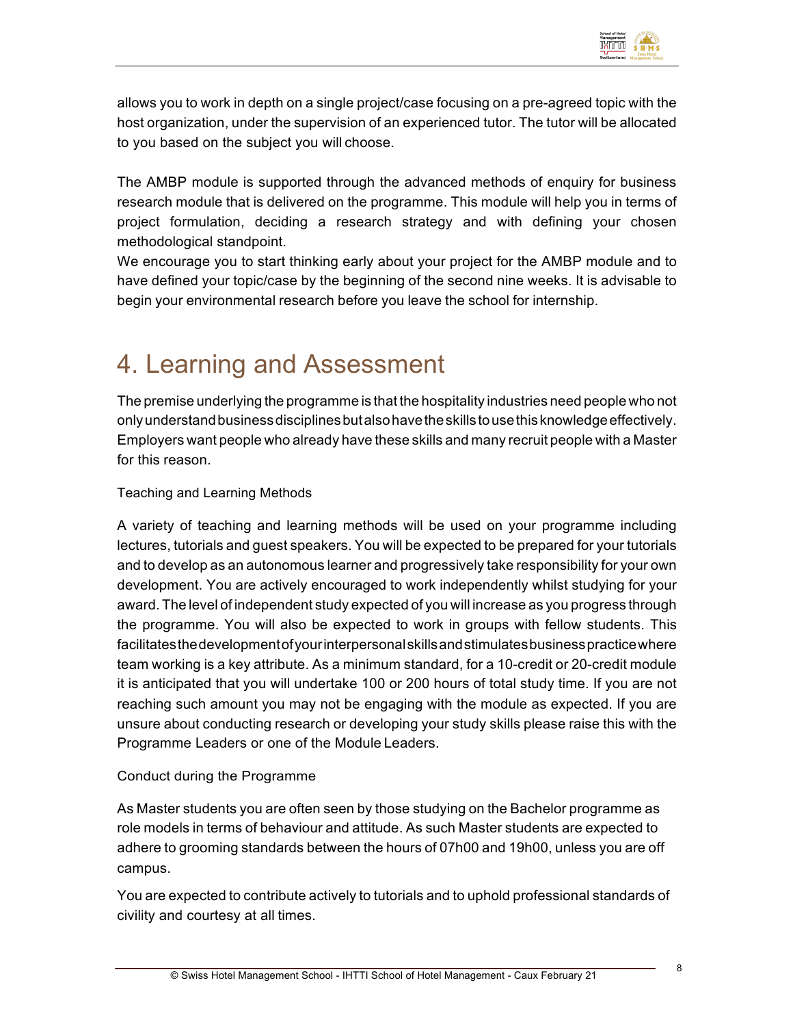

allows you to work in depth on a single project/case focusing on a pre-agreed topic with the host organization, under the supervision of an experienced tutor. The tutor will be allocated to you based on the subject you will choose.

The AMBP module is supported through the advanced methods of enquiry for business research module that is delivered on the programme. This module will help you in terms of project formulation, deciding a research strategy and with defining your chosen methodological standpoint.

We encourage you to start thinking early about your project for the AMBP module and to have defined your topic/case by the beginning of the second nine weeks. It is advisable to begin your environmental research before you leave the school for internship.

# 4. Learning and Assessment

The premise underlying the programme is that the hospitality industries need people who not only understand business disciplines but also have the skills to use this knowledge effectively. Employers want people who already have these skills and many recruit people with a Master for this reason.

Teaching and Learning Methods

A variety of teaching and learning methods will be used on your programme including lectures, tutorials and guest speakers. You will be expected to be prepared for your tutorials and to develop as an autonomous learner and progressively take responsibility for your own development. You are actively encouraged to work independently whilst studying for your award. The level of independent study expected of you will increase as you progress through the programme. You will also be expected to work in groups with fellow students. This facilitatesthedevelopmentofyourinterpersonalskillsandstimulatesbusinesspracticewhere team working is a key attribute. As a minimum standard, for a 10-credit or 20-credit module it is anticipated that you will undertake 100 or 200 hours of total study time. If you are not reaching such amount you may not be engaging with the module as expected. If you are unsure about conducting research or developing your study skills please raise this with the Programme Leaders or one of the Module Leaders.

#### Conduct during the Programme

As Master students you are often seen by those studying on the Bachelor programme as role models in terms of behaviour and attitude. As such Master students are expected to adhere to grooming standards between the hours of 07h00 and 19h00, unless you are off campus.

You are expected to contribute actively to tutorials and to uphold professional standards of civility and courtesy at all times.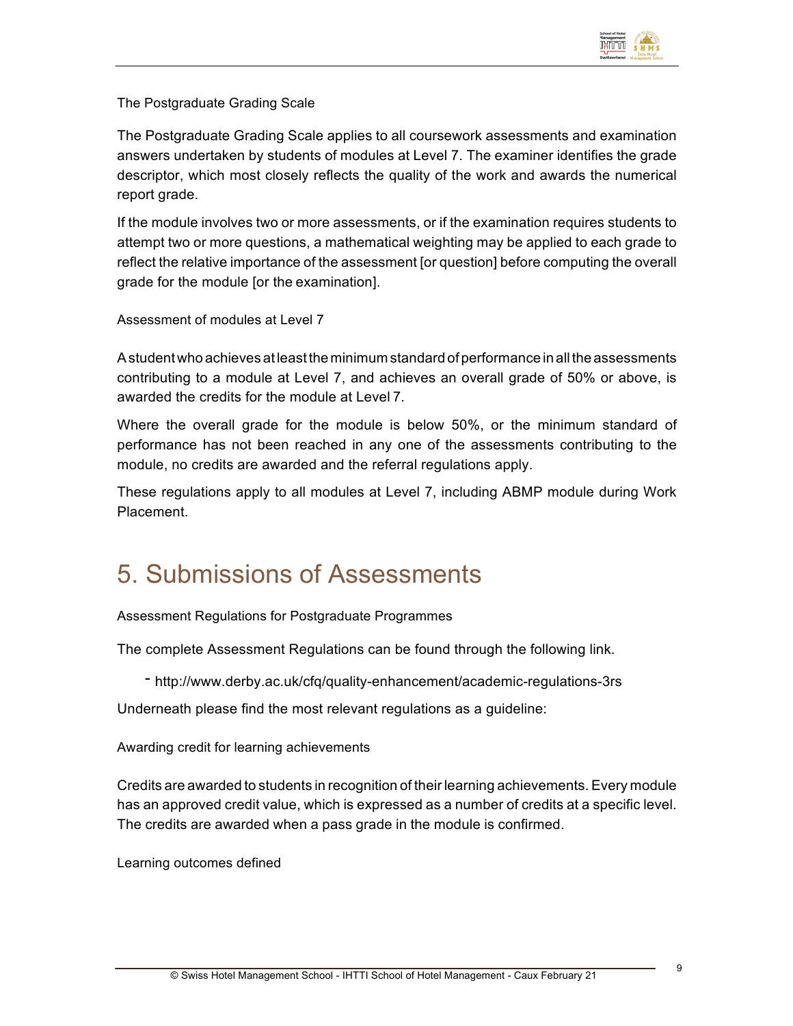

The Postgraduate Grading Scale

The Postgraduate Grading Scale applies to all coursework assessments and examination answers undertaken by students of modules at Level 7. The examiner identifies the grade descriptor, which most closely reflects the quality of the work and awards the numerical report grade.

If the module involves two or more assessments, or if the examination requires students to attempt two or more questions, a mathematical weighting may be applied to each grade to reflect the relative importance of the assessment [or question] before computing the overall grade for the module [or the examination].

Assessment of modules at Level 7

Astudentwho achieves atleastthe minimum standard ofperformance in allthe assessments contributing to a module at Level 7, and achieves an overall grade of 50% or above, is awarded the credits for the module at Level 7.

Where the overall grade for the module is below 50%, or the minimum standard of performance has not been reached in any one of the assessments contributing to the module, no credits are awarded and the referral regulations apply.

These regulations apply to all modules at Level 7, including ABMP module during Work Placement.

## 5. Submissions of Assessments

Assessment Regulations for Postgraduate Programmes

The complete Assessment Regulations can be found through the following link.

- http://www.derby.ac.uk/cfq/quality-enhancement/academic-regulations-3rs

Underneath please find the most relevant regulations as a guideline:

Awarding credit for learning achievements

Credits are awarded to students in recognition of their learning achievements. Every module has an approved credit value, which is expressed as a number of credits at a specific level. The credits are awarded when a pass grade in the module is confirmed.

Learning outcomes defined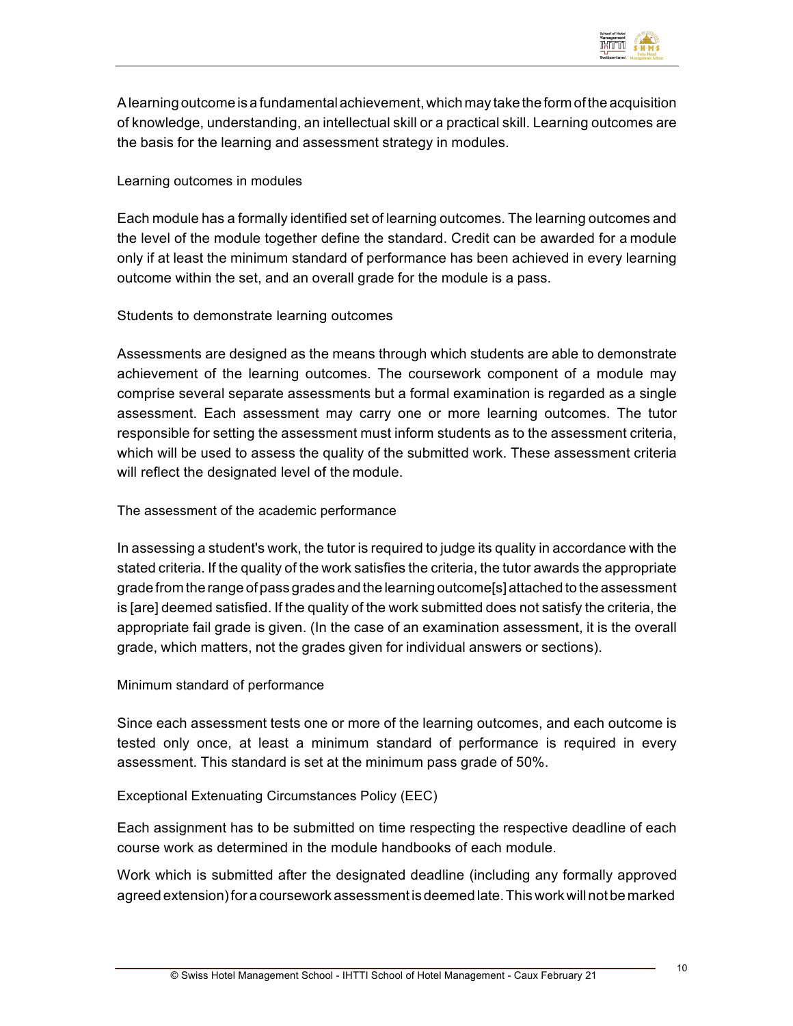

Alearning outcome is a fundamentalachievement,which may take the form ofthe acquisition of knowledge, understanding, an intellectual skill or a practical skill. Learning outcomes are the basis for the learning and assessment strategy in modules.

#### Learning outcomes in modules

Each module has a formally identified set of learning outcomes. The learning outcomes and the level of the module together define the standard. Credit can be awarded for a module only if at least the minimum standard of performance has been achieved in every learning outcome within the set, and an overall grade for the module is a pass.

#### Students to demonstrate learning outcomes

Assessments are designed as the means through which students are able to demonstrate achievement of the learning outcomes. The coursework component of a module may comprise several separate assessments but a formal examination is regarded as a single assessment. Each assessment may carry one or more learning outcomes. The tutor responsible for setting the assessment must inform students as to the assessment criteria, which will be used to assess the quality of the submitted work. These assessment criteria will reflect the designated level of the module.

#### The assessment of the academic performance

In assessing a student's work, the tutor is required to judge its quality in accordance with the stated criteria. If the quality of the work satisfies the criteria, the tutor awards the appropriate grade from the range of pass grades and the learning outcome[s] attached to the assessment is [are] deemed satisfied. If the quality of the work submitted does not satisfy the criteria, the appropriate fail grade is given. (In the case of an examination assessment, it is the overall grade, which matters, not the grades given for individual answers or sections).

#### Minimum standard of performance

Since each assessment tests one or more of the learning outcomes, and each outcome is tested only once, at least a minimum standard of performance is required in every assessment. This standard is set at the minimum pass grade of 50%.

#### Exceptional Extenuating Circumstances Policy (EEC)

Each assignment has to be submitted on time respecting the respective deadline of each course work as determined in the module handbooks of each module.

Work which is submitted after the designated deadline (including any formally approved agreed extension)for a coursework assessmentis deemed late.Thisworkwillnotbe marked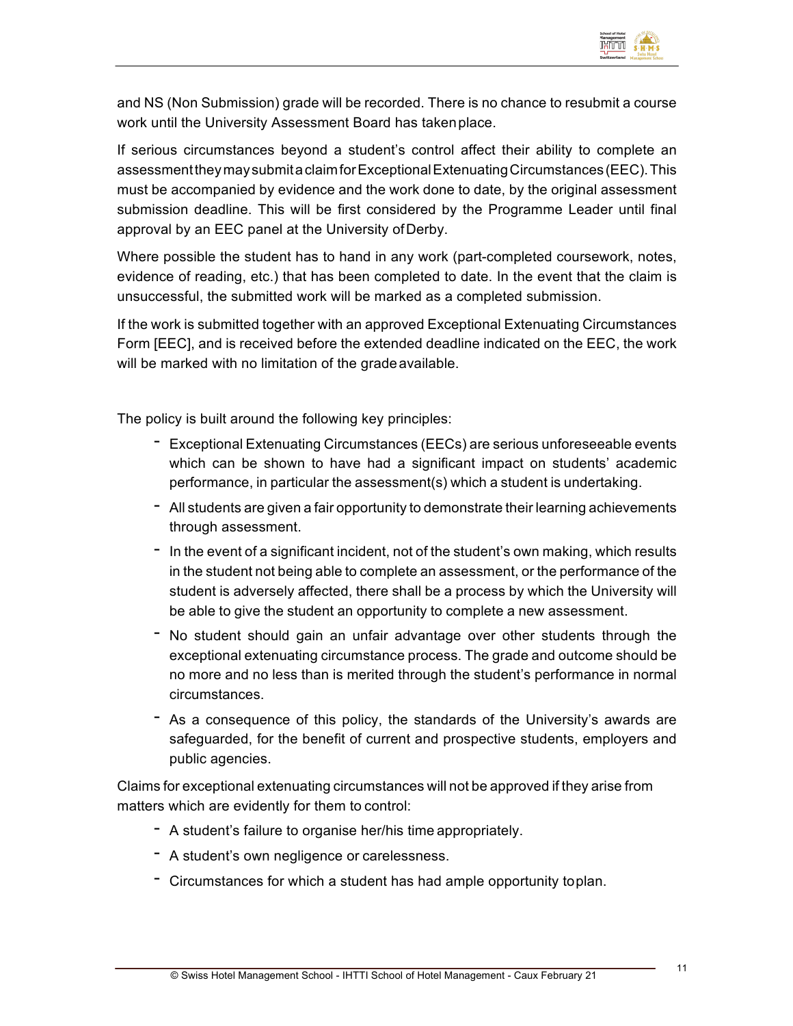

and NS (Non Submission) grade will be recorded. There is no chance to resubmit a course work until the University Assessment Board has takenplace.

If serious circumstances beyond a student's control affect their ability to complete an assessmenttheymaysubmitaclaimforExceptionalExtenuatingCircumstances(EEC).This must be accompanied by evidence and the work done to date, by the original assessment submission deadline. This will be first considered by the Programme Leader until final approval by an EEC panel at the University ofDerby.

Where possible the student has to hand in any work (part-completed coursework, notes, evidence of reading, etc.) that has been completed to date. In the event that the claim is unsuccessful, the submitted work will be marked as a completed submission.

If the work is submitted together with an approved Exceptional Extenuating Circumstances Form [EEC], and is received before the extended deadline indicated on the EEC, the work will be marked with no limitation of the grade available.

The policy is built around the following key principles:

- Exceptional Extenuating Circumstances (EECs) are serious unforeseeable events which can be shown to have had a significant impact on students' academic performance, in particular the assessment(s) which a student is undertaking.
- All students are given a fair opportunity to demonstrate their learning achievements through assessment.
- In the event of <sup>a</sup> significant incident, not of the student's own making, which results in the student not being able to complete an assessment, or the performance of the student is adversely affected, there shall be a process by which the University will be able to give the student an opportunity to complete a new assessment.
- No student should gain an unfair advantage over other students through the exceptional extenuating circumstance process. The grade and outcome should be no more and no less than is merited through the student's performance in normal circumstances.
- As a consequence of this policy, the standards of the University's awards are safeguarded, for the benefit of current and prospective students, employers and public agencies.

Claims for exceptional extenuating circumstances will not be approved if they arise from matters which are evidently for them to control:

- A student's failure to organise her/his time appropriately.
- A student's own negligence or carelessness.
- Circumstances for which a student has had ample opportunity toplan.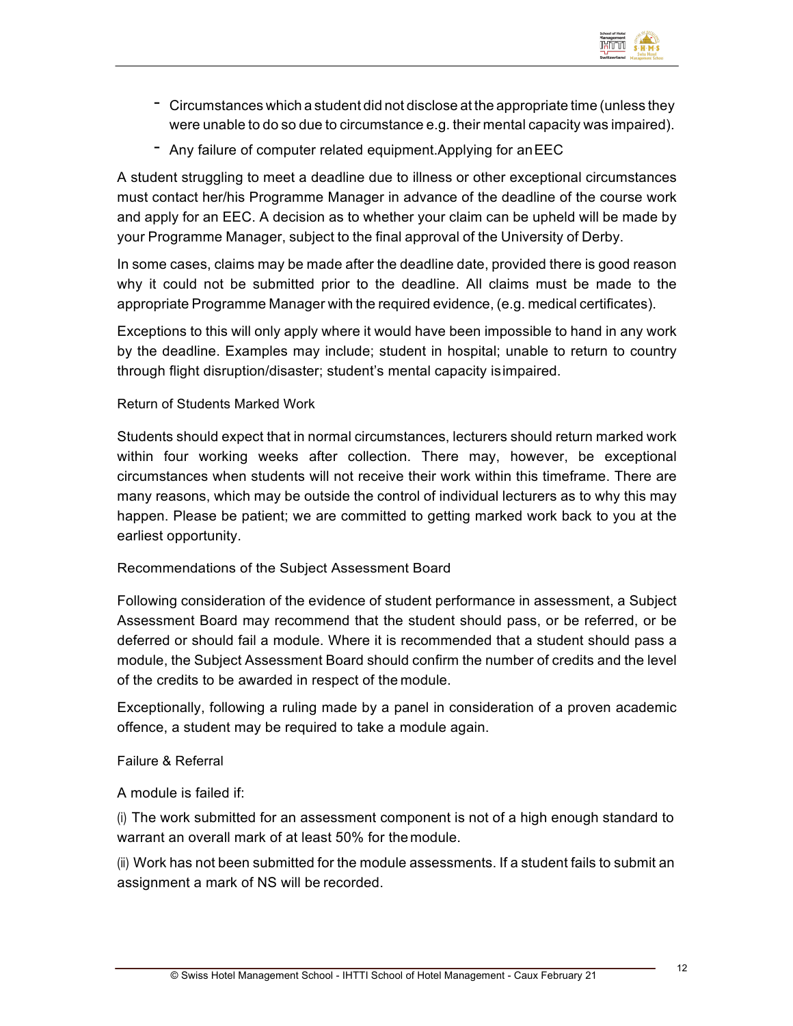

- Circumstances which <sup>a</sup> student did not disclose at the appropriate time (unless they were unable to do so due to circumstance e.g. their mental capacity was impaired).
- Any failure of computer related equipment.Applying for anEEC

A student struggling to meet a deadline due to illness or other exceptional circumstances must contact her/his Programme Manager in advance of the deadline of the course work and apply for an EEC. A decision as to whether your claim can be upheld will be made by your Programme Manager, subject to the final approval of the University of Derby.

In some cases, claims may be made after the deadline date, provided there is good reason why it could not be submitted prior to the deadline. All claims must be made to the appropriate Programme Manager with the required evidence, (e.g. medical certificates).

Exceptions to this will only apply where it would have been impossible to hand in any work by the deadline. Examples may include; student in hospital; unable to return to country through flight disruption/disaster; student's mental capacity isimpaired.

#### Return of Students Marked Work

Students should expect that in normal circumstances, lecturers should return marked work within four working weeks after collection. There may, however, be exceptional circumstances when students will not receive their work within this timeframe. There are many reasons, which may be outside the control of individual lecturers as to why this may happen. Please be patient; we are committed to getting marked work back to you at the earliest opportunity.

#### Recommendations of the Subject Assessment Board

Following consideration of the evidence of student performance in assessment, a Subject Assessment Board may recommend that the student should pass, or be referred, or be deferred or should fail a module. Where it is recommended that a student should pass a module, the Subject Assessment Board should confirm the number of credits and the level of the credits to be awarded in respect of the module.

Exceptionally, following a ruling made by a panel in consideration of a proven academic offence, a student may be required to take a module again.

#### Failure & Referral

A module is failed if:

(i) The work submitted for an assessment component is not of a high enough standard to warrant an overall mark of at least 50% for themodule.

(ii) Work has not been submitted for the module assessments. If a student fails to submit an assignment a mark of NS will be recorded.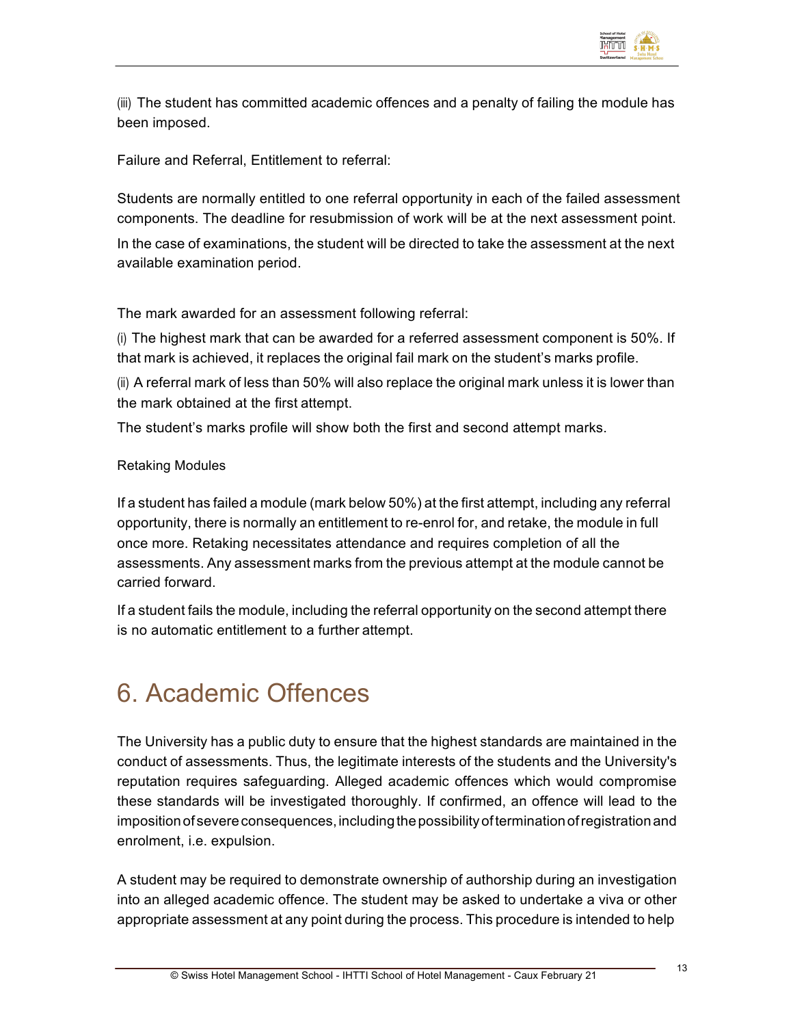

(iii) The student has committed academic offences and a penalty of failing the module has been imposed.

Failure and Referral, Entitlement to referral:

Students are normally entitled to one referral opportunity in each of the failed assessment components. The deadline for resubmission of work will be at the next assessment point. In the case of examinations, the student will be directed to take the assessment at the next available examination period.

The mark awarded for an assessment following referral:

(i) The highest mark that can be awarded for a referred assessment component is 50%. If that mark is achieved, it replaces the original fail mark on the student's marks profile.

(ii) A referral mark of less than 50% will also replace the original mark unless it is lower than the mark obtained at the first attempt.

The student's marks profile will show both the first and second attempt marks.

#### Retaking Modules

If a student has failed a module (mark below 50%) at the first attempt, including any referral opportunity, there is normally an entitlement to re-enrol for, and retake, the module in full once more. Retaking necessitates attendance and requires completion of all the assessments. Any assessment marks from the previous attempt at the module cannot be carried forward.

If a student fails the module, including the referral opportunity on the second attempt there is no automatic entitlement to a further attempt.

# 6. Academic Offences

The University has a public duty to ensure that the highest standards are maintained in the conduct of assessments. Thus, the legitimate interests of the students and the University's reputation requires safeguarding. Alleged academic offences which would compromise these standards will be investigated thoroughly. If confirmed, an offence will lead to the imposition of severe consequences, including the possibility of termination of registration and enrolment, i.e. expulsion.

A student may be required to demonstrate ownership of authorship during an investigation into an alleged academic offence. The student may be asked to undertake a viva or other appropriate assessment at any point during the process. This procedure is intended to help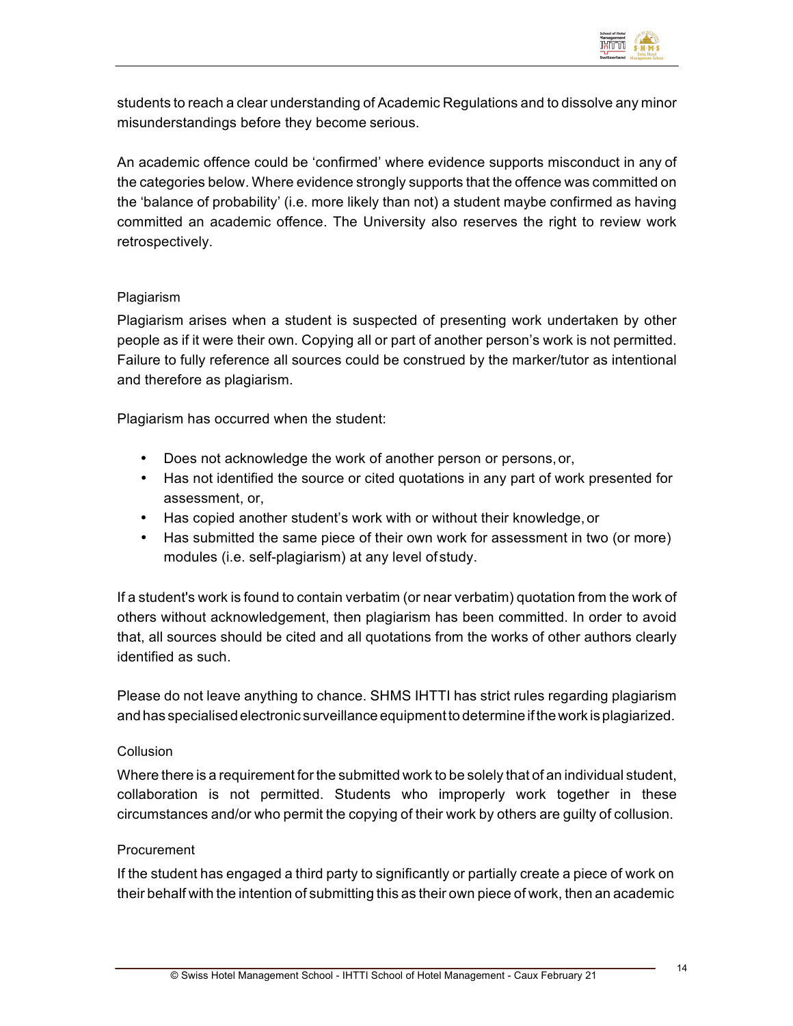

students to reach a clear understanding of Academic Regulations and to dissolve any minor misunderstandings before they become serious.

An academic offence could be 'confirmed' where evidence supports misconduct in any of the categories below. Where evidence strongly supports that the offence was committed on the 'balance of probability' (i.e. more likely than not) a student maybe confirmed as having committed an academic offence. The University also reserves the right to review work retrospectively.

#### Plagiarism

Plagiarism arises when a student is suspected of presenting work undertaken by other people as if it were their own. Copying all or part of another person's work is not permitted. Failure to fully reference all sources could be construed by the marker/tutor as intentional and therefore as plagiarism.

Plagiarism has occurred when the student:

- Does not acknowledge the work of another person or persons,or,
- Has not identified the source or cited quotations in any part of work presented for assessment, or,
- Has copied another student's work with or without their knowledge, or
- Has submitted the same piece of their own work for assessment in two (or more) modules (i.e. self-plagiarism) at any level of study.

If a student's work is found to contain verbatim (or near verbatim) quotation from the work of others without acknowledgement, then plagiarism has been committed. In order to avoid that, all sources should be cited and all quotations from the works of other authors clearly identified as such.

Please do not leave anything to chance. SHMS IHTTI has strict rules regarding plagiarism and has specialised electronic surveillance equipment to determine if the work is plagiarized.

#### Collusion

Where there is a requirement for the submitted work to be solely that of an individual student, collaboration is not permitted. Students who improperly work together in these circumstances and/or who permit the copying of their work by others are guilty of collusion.

#### Procurement

If the student has engaged a third party to significantly or partially create a piece of work on their behalf with the intention of submitting this as their own piece of work, then an academic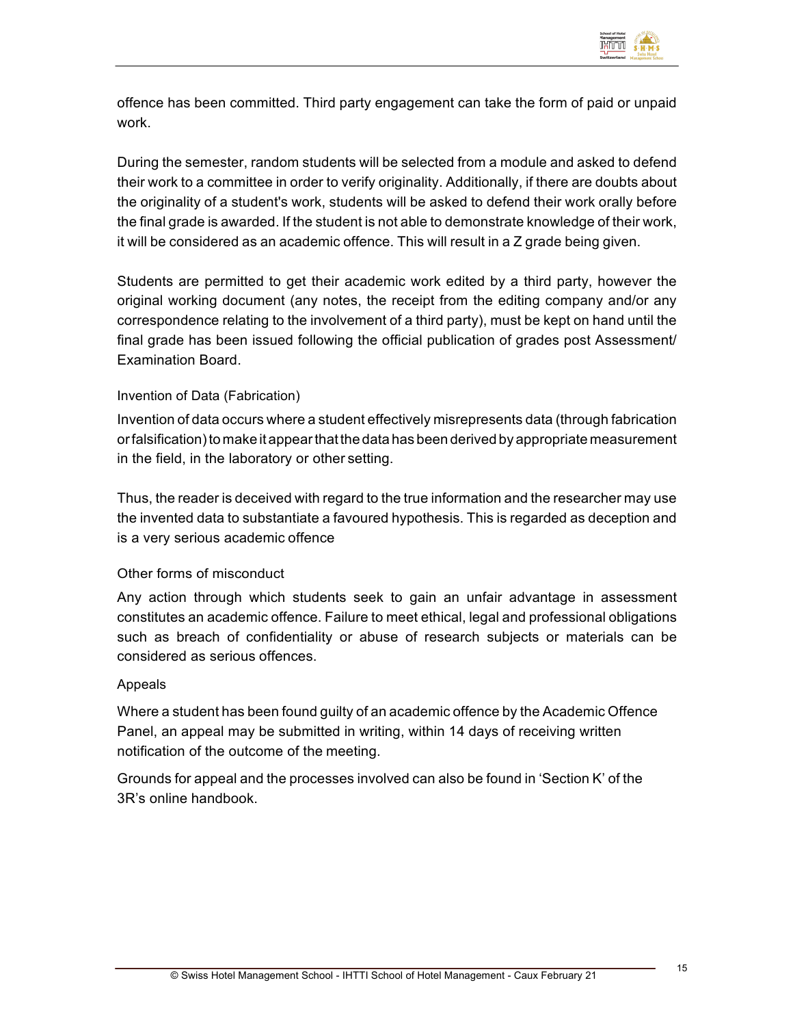

offence has been committed. Third party engagement can take the form of paid or unpaid work.

During the semester, random students will be selected from a module and asked to defend their work to a committee in order to verify originality. Additionally, if there are doubts about the originality of a student's work, students will be asked to defend their work orally before the final grade is awarded. If the student is not able to demonstrate knowledge of their work, it will be considered as an academic offence. This will result in a Z grade being given.

Students are permitted to get their academic work edited by a third party, however the original working document (any notes, the receipt from the editing company and/or any correspondence relating to the involvement of a third party), must be kept on hand until the final grade has been issued following the official publication of grades post Assessment/ Examination Board.

#### Invention of Data (Fabrication)

Invention of data occurs where a student effectively misrepresents data (through fabrication or falsification) to make it appear that the data has been derived by appropriate measurement in the field, in the laboratory or other setting.

Thus, the reader is deceived with regard to the true information and the researcher may use the invented data to substantiate a favoured hypothesis. This is regarded as deception and is a very serious academic offence

#### Other forms of misconduct

Any action through which students seek to gain an unfair advantage in assessment constitutes an academic offence. Failure to meet ethical, legal and professional obligations such as breach of confidentiality or abuse of research subjects or materials can be considered as serious offences.

#### Appeals

Where a student has been found guilty of an academic offence by the Academic Offence Panel, an appeal may be submitted in writing, within 14 days of receiving written notification of the outcome of the meeting.

Grounds for appeal and the processes involved can also be found in 'Section K' of the 3R's online handbook.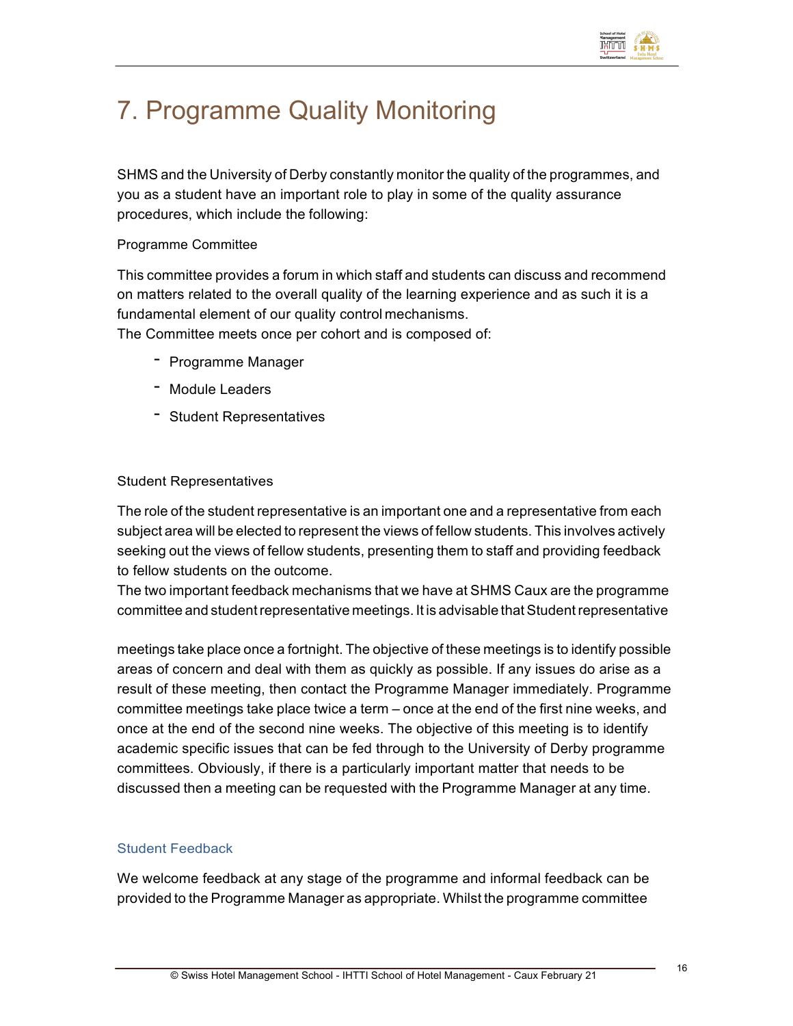

# 7. Programme Quality Monitoring

SHMS and the University of Derby constantly monitor the quality of the programmes, and you as a student have an important role to play in some of the quality assurance procedures, which include the following:

#### Programme Committee

This committee provides a forum in which staff and students can discuss and recommend on matters related to the overall quality of the learning experience and as such it is a fundamental element of our quality control mechanisms.

The Committee meets once per cohort and is composed of:

- Programme Manager
- Module Leaders
- Student Representatives

#### Student Representatives

The role of the student representative is an important one and a representative from each subject area will be elected to represent the views of fellow students. This involves actively seeking out the views of fellow students, presenting them to staff and providing feedback to fellow students on the outcome.

The two important feedback mechanisms that we have at SHMS Caux are the programme committee and student representative meetings. It is advisable that Student representative

meetings take place once a fortnight. The objective of these meetings is to identify possible areas of concern and deal with them as quickly as possible. If any issues do arise as a result of these meeting, then contact the Programme Manager immediately. Programme committee meetings take place twice a term – once at the end of the first nine weeks, and once at the end of the second nine weeks. The objective of this meeting is to identify academic specific issues that can be fed through to the University of Derby programme committees. Obviously, if there is a particularly important matter that needs to be discussed then a meeting can be requested with the Programme Manager at any time.

#### Student Feedback

We welcome feedback at any stage of the programme and informal feedback can be provided to the Programme Manager as appropriate. Whilst the programme committee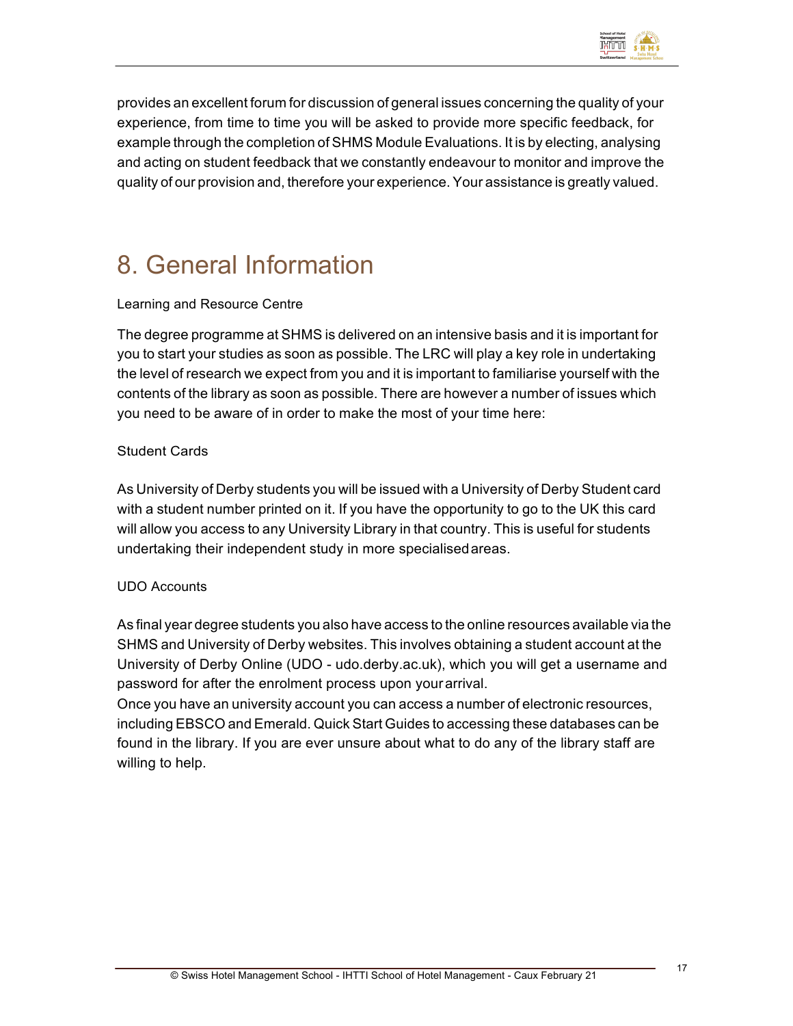

provides an excellent forum for discussion of general issues concerning the quality of your experience, from time to time you will be asked to provide more specific feedback, for example through the completion of SHMS Module Evaluations. It is by electing, analysing and acting on student feedback that we constantly endeavour to monitor and improve the quality of our provision and, therefore your experience. Your assistance is greatly valued.

# 8. General Information

#### Learning and Resource Centre

The degree programme at SHMS is delivered on an intensive basis and it is important for you to start your studies as soon as possible. The LRC will play a key role in undertaking the level of research we expect from you and it is important to familiarise yourself with the contents of the library as soon as possible. There are however a number of issues which you need to be aware of in order to make the most of your time here:

#### Student Cards

As University of Derby students you will be issued with a University of Derby Student card with a student number printed on it. If you have the opportunity to go to the UK this card will allow you access to any University Library in that country. This is useful for students undertaking their independent study in more specialisedareas.

#### UDO Accounts

As final year degree students you also have access to the online resources available via the SHMS and University of Derby websites. This involves obtaining a student account at the University of Derby Online (UDO - udo.derby.ac.uk), which you will get a username and password for after the enrolment process upon yourarrival.

Once you have an university account you can access a number of electronic resources, including EBSCO and Emerald. Quick Start Guides to accessing these databases can be found in the library. If you are ever unsure about what to do any of the library staff are willing to help.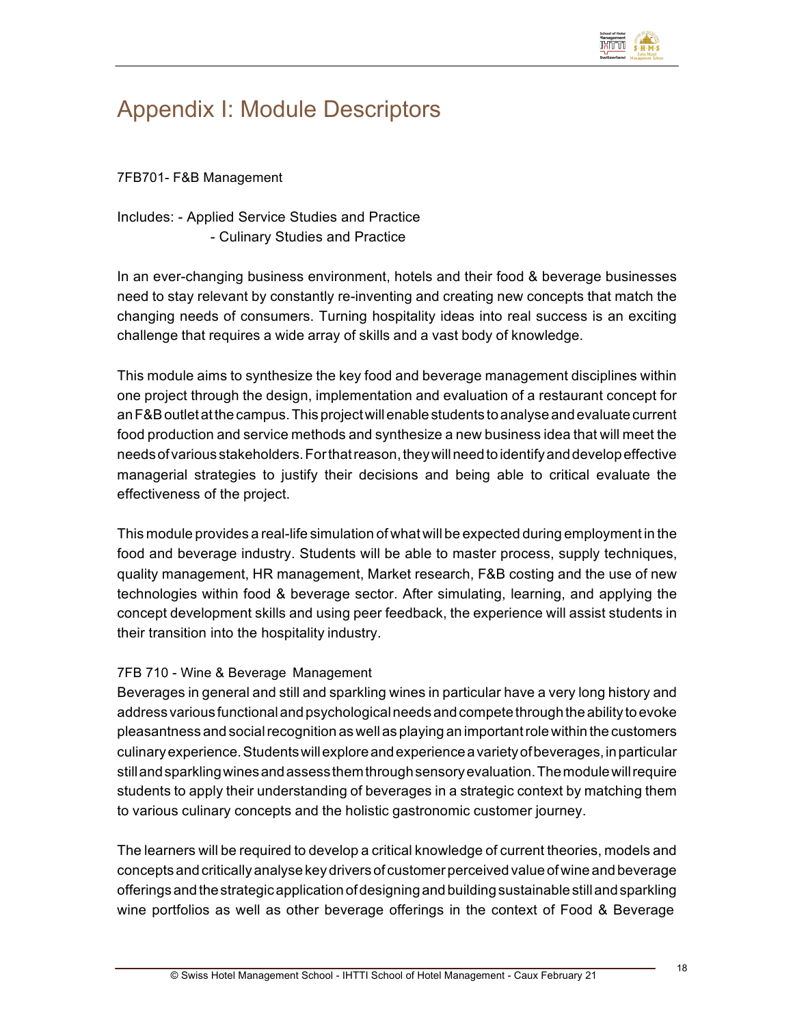

## Appendix I: Module Descriptors

7FB701- F&B Management

Includes: - Applied Service Studies and Practice - Culinary Studies and Practice

In an ever-changing business environment, hotels and their food & beverage businesses need to stay relevant by constantly re-inventing and creating new concepts that match the changing needs of consumers. Turning hospitality ideas into real success is an exciting challenge that requires a wide array of skills and a vast body of knowledge.

This module aims to synthesize the key food and beverage management disciplines within one project through the design, implementation and evaluation of a restaurant concept for anF&Boutletatthecampus.Thisprojectwillenablestudents toanalyseandevaluate current food production and service methods and synthesize a new business idea that will meet the needs of various stakeholders. For that reason, they will need to identify and develop effective managerial strategies to justify their decisions and being able to critical evaluate the effectiveness of the project.

This module provides a real-life simulation of what will be expected during employment in the food and beverage industry. Students will be able to master process, supply techniques, quality management, HR management, Market research, F&B costing and the use of new technologies within food & beverage sector. After simulating, learning, and applying the concept development skills and using peer feedback, the experience will assist students in their transition into the hospitality industry.

#### 7FB 710 - Wine & Beverage Management

Beverages in general and still and sparkling wines in particular have a very long history and address various functional and psychological needs and compete through the ability to evoke pleasantness and social recognition as well as playing an important role within the customers culinary experience. Students will explore and experience a variety of beverages, in particular stillandsparklingwinesandassessthemthroughsensoryevaluation.Themodulewillrequire students to apply their understanding of beverages in a strategic context by matching them to various culinary concepts and the holistic gastronomic customer journey.

The learners will be required to develop a critical knowledge of current theories, models and conceptsand critically analyse key driversof customerperceived valueofwine and beverage offerings and the strategic application of designing and building sustainable still and sparkling wine portfolios as well as other beverage offerings in the context of Food & Beverage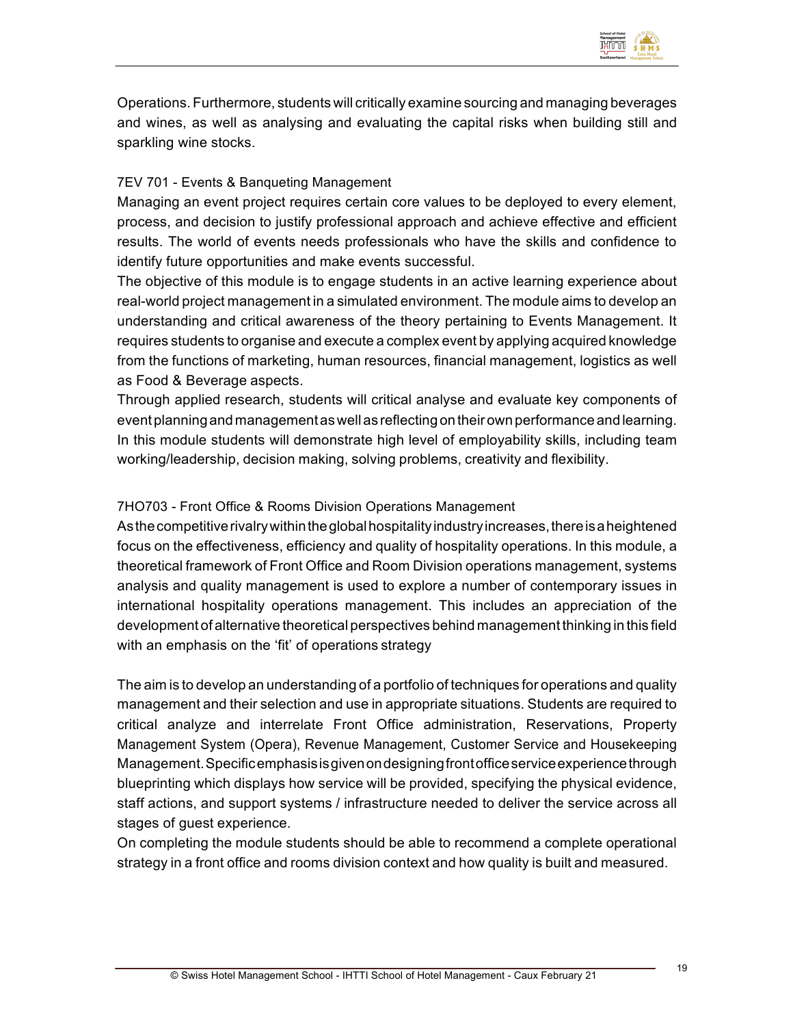

Operations. Furthermore, students will critically examine sourcing and managing beverages and wines, as well as analysing and evaluating the capital risks when building still and sparkling wine stocks.

#### 7EV 701 - Events & Banqueting Management

Managing an event project requires certain core values to be deployed to every element, process, and decision to justify professional approach and achieve effective and efficient results. The world of events needs professionals who have the skills and confidence to identify future opportunities and make events successful.

The objective of this module is to engage students in an active learning experience about real-world project management in a simulated environment. The module aims to develop an understanding and critical awareness of the theory pertaining to Events Management. It requires students to organise and execute a complex event by applying acquired knowledge from the functions of marketing, human resources, financial management, logistics as well as Food & Beverage aspects.

Through applied research, students will critical analyse and evaluate key components of eventplanning and managementaswellas reflecting on theirown performance and learning. In this module students will demonstrate high level of employability skills, including team working/leadership, decision making, solving problems, creativity and flexibility.

#### 7HO703 - Front Office & Rooms Division Operations Management

As the competitive rivalry within the global hospitality industry increases, there is a heightened focus on the effectiveness, efficiency and quality of hospitality operations. In this module, a theoretical framework of Front Office and Room Division operations management, systems analysis and quality management is used to explore a number of contemporary issues in international hospitality operations management. This includes an appreciation of the development of alternative theoretical perspectives behind management thinking in this field with an emphasis on the 'fit' of operations strategy

The aim is to develop an understanding of a portfolio of techniques for operations and quality management and their selection and use in appropriate situations. Students are required to critical analyze and interrelate Front Office administration, Reservations, Property Management System (Opera), Revenue Management, Customer Service and Housekeeping Management.Specificemphasisisgivenondesigningfrontofficeserviceexperiencethrough blueprinting which displays how service will be provided, specifying the physical evidence, staff actions, and support systems / infrastructure needed to deliver the service across all stages of guest experience.

On completing the module students should be able to recommend a complete operational strategy in a front office and rooms division context and how quality is built and measured.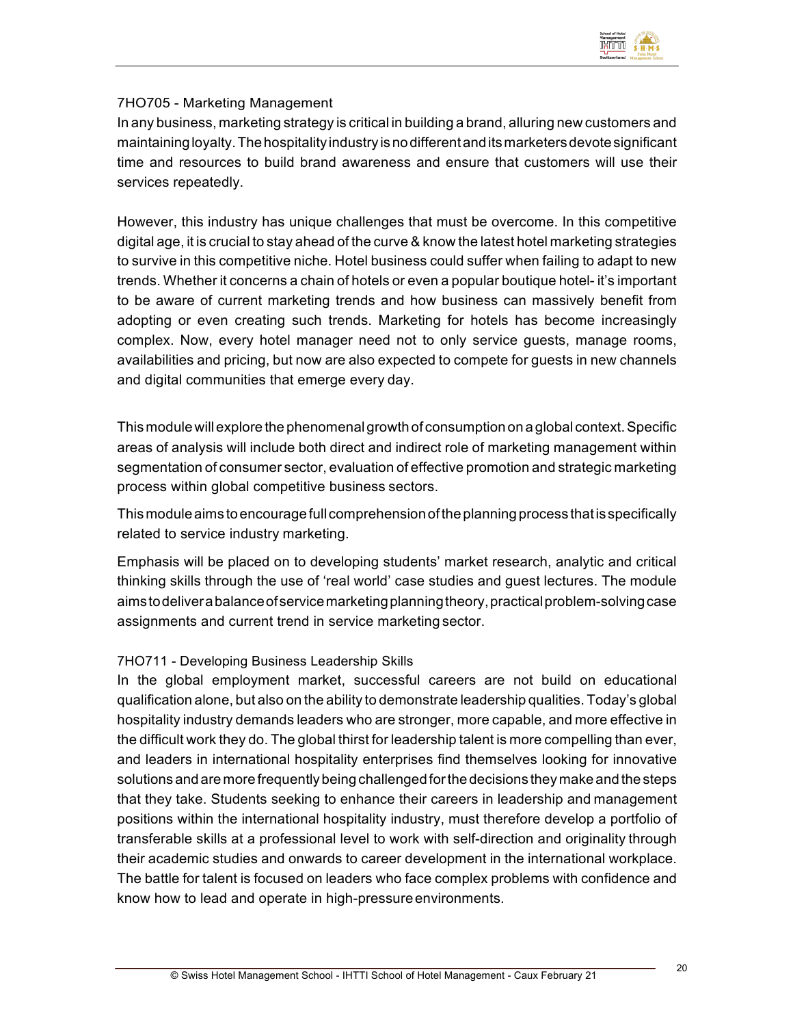

#### 7HO705 - Marketing Management

In any business, marketing strategy is critical in building a brand, alluring new customers and maintainingloyalty.Thehospitality industry isnodifferentanditsmarketersdevotesignificant time and resources to build brand awareness and ensure that customers will use their services repeatedly.

However, this industry has unique challenges that must be overcome. In this competitive digital age, it is crucial to stay ahead of the curve & know the latest hotel marketing strategies to survive in this competitive niche. Hotel business could suffer when failing to adapt to new trends. Whether it concerns a chain of hotels or even a popular boutique hotel- it's important to be aware of current marketing trends and how business can massively benefit from adopting or even creating such trends. Marketing for hotels has become increasingly complex. Now, every hotel manager need not to only service guests, manage rooms, availabilities and pricing, but now are also expected to compete for guests in new channels and digital communities that emerge every day.

This module willexplore the phenomenalgrowth of consumption on a global context.Specific areas of analysis will include both direct and indirect role of marketing management within segmentation of consumer sector, evaluation of effective promotion and strategic marketing process within global competitive business sectors.

This module aims to encourage full comprehension of the planning process that is specifically related to service industry marketing.

Emphasis will be placed on to developing students' market research, analytic and critical thinking skills through the use of 'real world' case studies and guest lectures. The module aimstodeliverabalanceofservicemarketingplanningtheory,practicalproblem-solvingcase assignments and current trend in service marketing sector.

#### 7HO711 - Developing Business Leadership Skills

In the global employment market, successful careers are not build on educational qualification alone, but also on the ability to demonstrate leadership qualities. Today's global hospitality industry demands leaders who are stronger, more capable, and more effective in the difficult work they do. The global thirst for leadership talent is more compelling than ever, and leaders in international hospitality enterprises find themselves looking for innovative solutionsand are morefrequentlybeing challenged forthe decisions theymake andthe steps that they take. Students seeking to enhance their careers in leadership and management positions within the international hospitality industry, must therefore develop a portfolio of transferable skills at a professional level to work with self-direction and originality through their academic studies and onwards to career development in the international workplace. The battle for talent is focused on leaders who face complex problems with confidence and know how to lead and operate in high-pressure environments.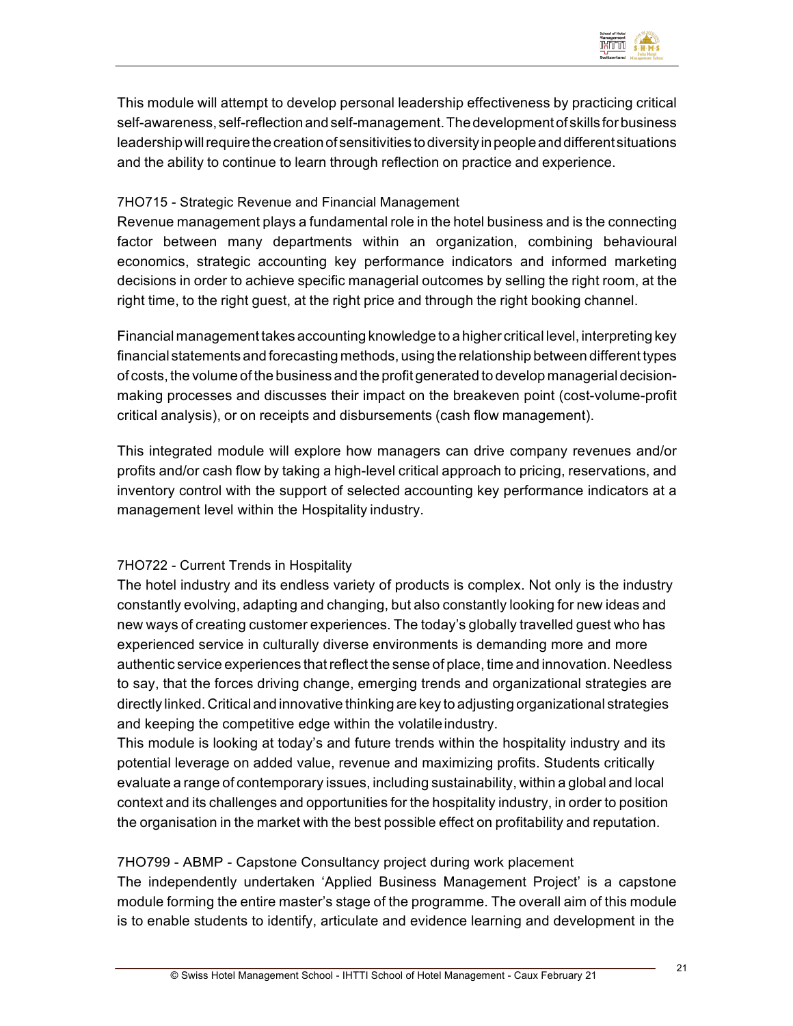

This module will attempt to develop personal leadership effectiveness by practicing critical self-awareness, self-reflectionandself-management.Thedevelopmentof skills forbusiness leadership will require the creation of sensitivities to diversity in people and different situations and the ability to continue to learn through reflection on practice and experience.

#### 7HO715 - Strategic Revenue and Financial Management

Revenue management plays a fundamental role in the hotel business and is the connecting factor between many departments within an organization, combining behavioural economics, strategic accounting key performance indicators and informed marketing decisions in order to achieve specific managerial outcomes by selling the right room, at the right time, to the right guest, at the right price and through the right booking channel.

Financial management takes accounting knowledge to a higher critical level, interpreting key financial statements and forecasting methods, using the relationship between different types of costs, the volume of the business and the profit generated to develop managerial decisionmaking processes and discusses their impact on the breakeven point (cost-volume-profit critical analysis), or on receipts and disbursements (cash flow management).

This integrated module will explore how managers can drive company revenues and/or profits and/or cash flow by taking a high-level critical approach to pricing, reservations, and inventory control with the support of selected accounting key performance indicators at a management level within the Hospitality industry.

#### 7HO722 - Current Trends in Hospitality

The hotel industry and its endless variety of products is complex. Not only is the industry constantly evolving, adapting and changing, but also constantly looking for new ideas and new ways of creating customer experiences. The today's globally travelled guest who has experienced service in culturally diverse environments is demanding more and more authentic service experiences thatreflect the sense of place, time and innovation. Needless to say, that the forces driving change, emerging trends and organizational strategies are directly linked. Critical and innovative thinking are key to adjusting organizational strategies and keeping the competitive edge within the volatile industry.

This module is looking at today's and future trends within the hospitality industry and its potential leverage on added value, revenue and maximizing profits. Students critically evaluate a range of contemporary issues, including sustainability, within a global and local context and its challenges and opportunities for the hospitality industry, in order to position the organisation in the market with the best possible effect on profitability and reputation.

#### 7HO799 - ABMP - Capstone Consultancy project during work placement

The independently undertaken 'Applied Business Management Project' is a capstone module forming the entire master's stage of the programme. The overall aim of this module is to enable students to identify, articulate and evidence learning and development in the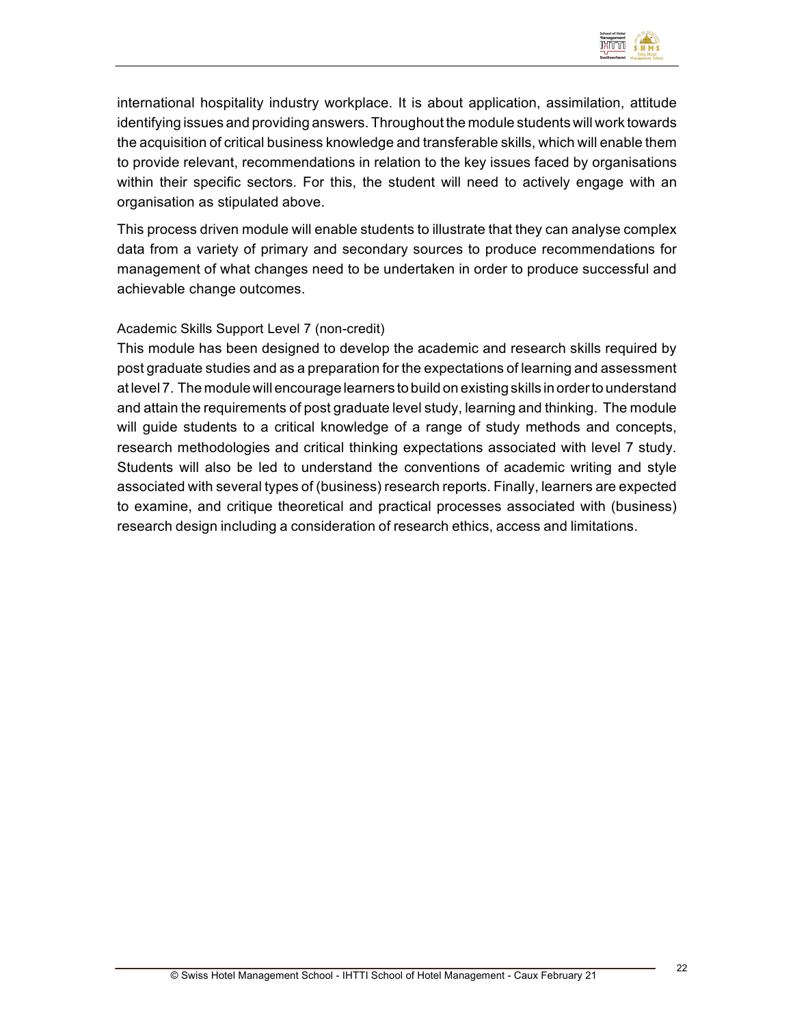

international hospitality industry workplace. It is about application, assimilation, attitude identifying issues and providing answers. Throughout the module students will work towards the acquisition of critical business knowledge and transferable skills, which will enable them to provide relevant, recommendations in relation to the key issues faced by organisations within their specific sectors. For this, the student will need to actively engage with an organisation as stipulated above.

This process driven module will enable students to illustrate that they can analyse complex data from a variety of primary and secondary sources to produce recommendations for management of what changes need to be undertaken in order to produce successful and achievable change outcomes.

#### Academic Skills Support Level 7 (non-credit)

This module has been designed to develop the academic and research skills required by post graduate studies and as a preparation for the expectations of learning and assessment at level 7. The module will encourage learners to build on existing skills in orderto understand and attain the requirements of post graduate level study, learning and thinking. The module will guide students to a critical knowledge of a range of study methods and concepts, research methodologies and critical thinking expectations associated with level 7 study. Students will also be led to understand the conventions of academic writing and style associated with several types of (business) research reports. Finally, learners are expected to examine, and critique theoretical and practical processes associated with (business) research design including a consideration of research ethics, access and limitations.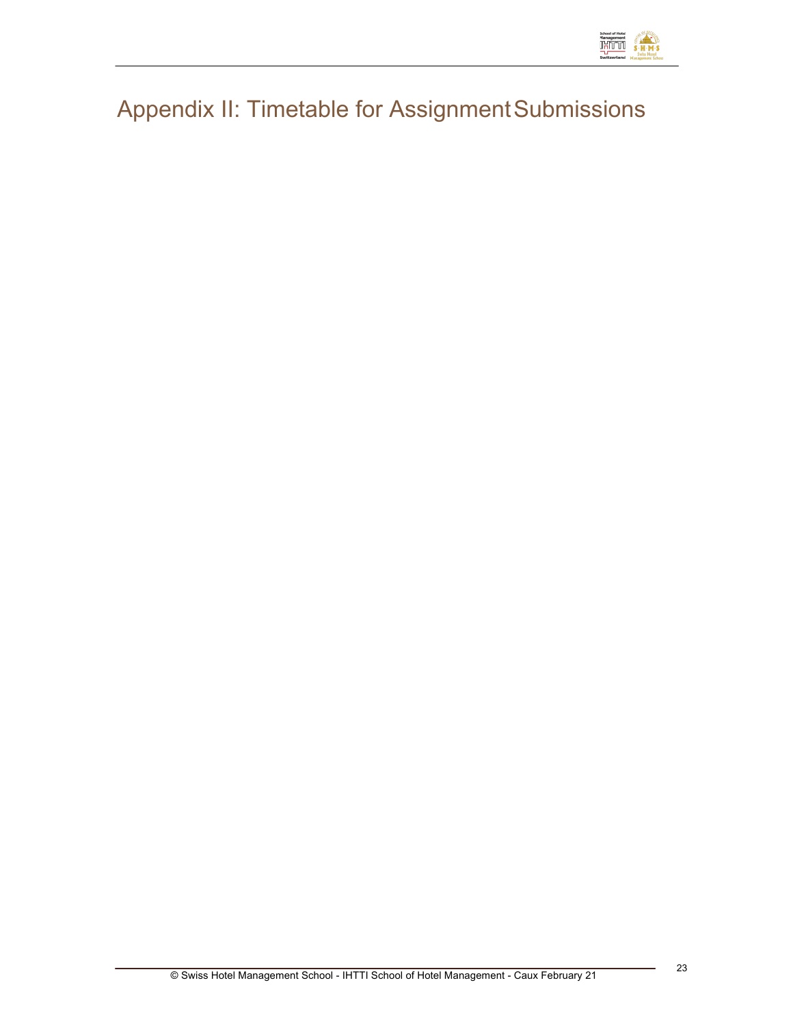

# Appendix II: Timetable for Assignment Submissions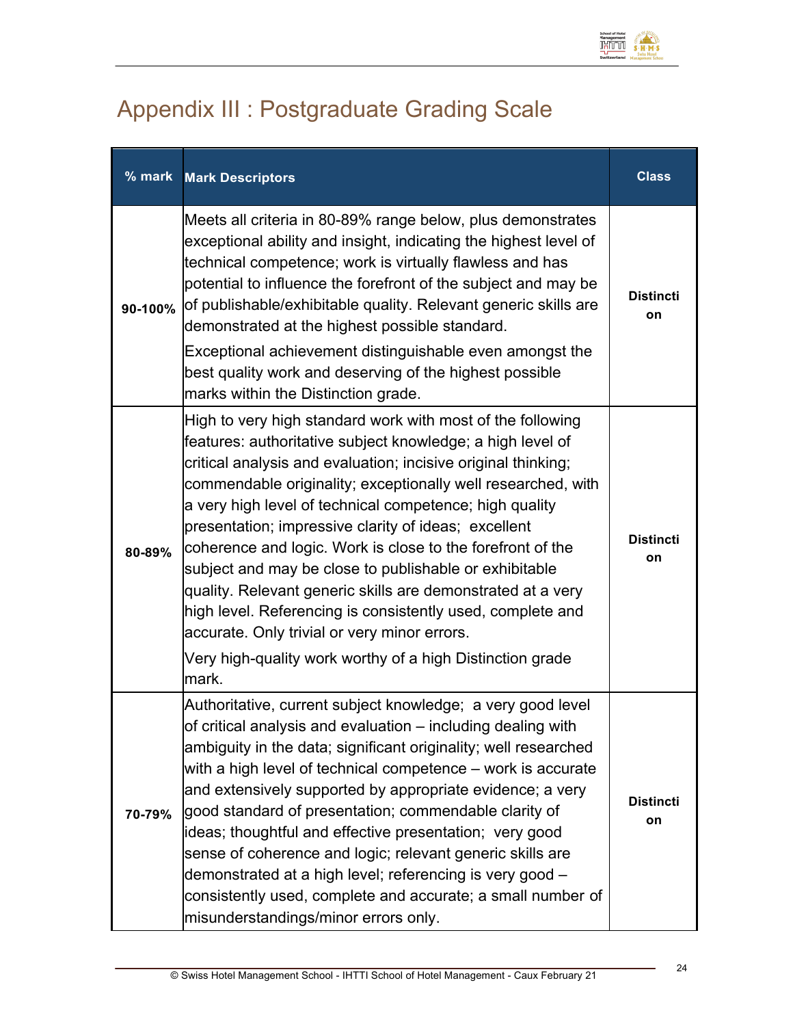

# Appendix III : Postgraduate Grading Scale

| % mark  | <b>Mark Descriptors</b>                                                                                                                                                                                                                                                                                                                                                                                                                                                                                                                                                                                                                                                                                                                                 | <b>Class</b>           |
|---------|---------------------------------------------------------------------------------------------------------------------------------------------------------------------------------------------------------------------------------------------------------------------------------------------------------------------------------------------------------------------------------------------------------------------------------------------------------------------------------------------------------------------------------------------------------------------------------------------------------------------------------------------------------------------------------------------------------------------------------------------------------|------------------------|
| 90-100% | Meets all criteria in 80-89% range below, plus demonstrates<br>exceptional ability and insight, indicating the highest level of<br>technical competence; work is virtually flawless and has<br>potential to influence the forefront of the subject and may be<br>of publishable/exhibitable quality. Relevant generic skills are<br>demonstrated at the highest possible standard.<br>Exceptional achievement distinguishable even amongst the<br>best quality work and deserving of the highest possible<br>marks within the Distinction grade.                                                                                                                                                                                                        | <b>Distincti</b><br>on |
| 80-89%  | High to very high standard work with most of the following<br>features: authoritative subject knowledge; a high level of<br>critical analysis and evaluation; incisive original thinking;<br>commendable originality; exceptionally well researched, with<br>a very high level of technical competence; high quality<br>presentation; impressive clarity of ideas; excellent<br>coherence and logic. Work is close to the forefront of the<br>subject and may be close to publishable or exhibitable<br>quality. Relevant generic skills are demonstrated at a very<br>high level. Referencing is consistently used, complete and<br>accurate. Only trivial or very minor errors.<br>Very high-quality work worthy of a high Distinction grade<br>mark. | <b>Distincti</b><br>on |
| 70-79%  | Authoritative, current subject knowledge; a very good level<br>of critical analysis and evaluation - including dealing with<br>ambiguity in the data; significant originality; well researched<br>with a high level of technical competence – work is accurate<br>and extensively supported by appropriate evidence; a very<br>good standard of presentation; commendable clarity of<br>ideas; thoughtful and effective presentation; very good<br>sense of coherence and logic; relevant generic skills are<br>demonstrated at a high level; referencing is very good -<br>consistently used, complete and accurate; a small number of<br>misunderstandings/minor errors only.                                                                         | <b>Distincti</b><br>on |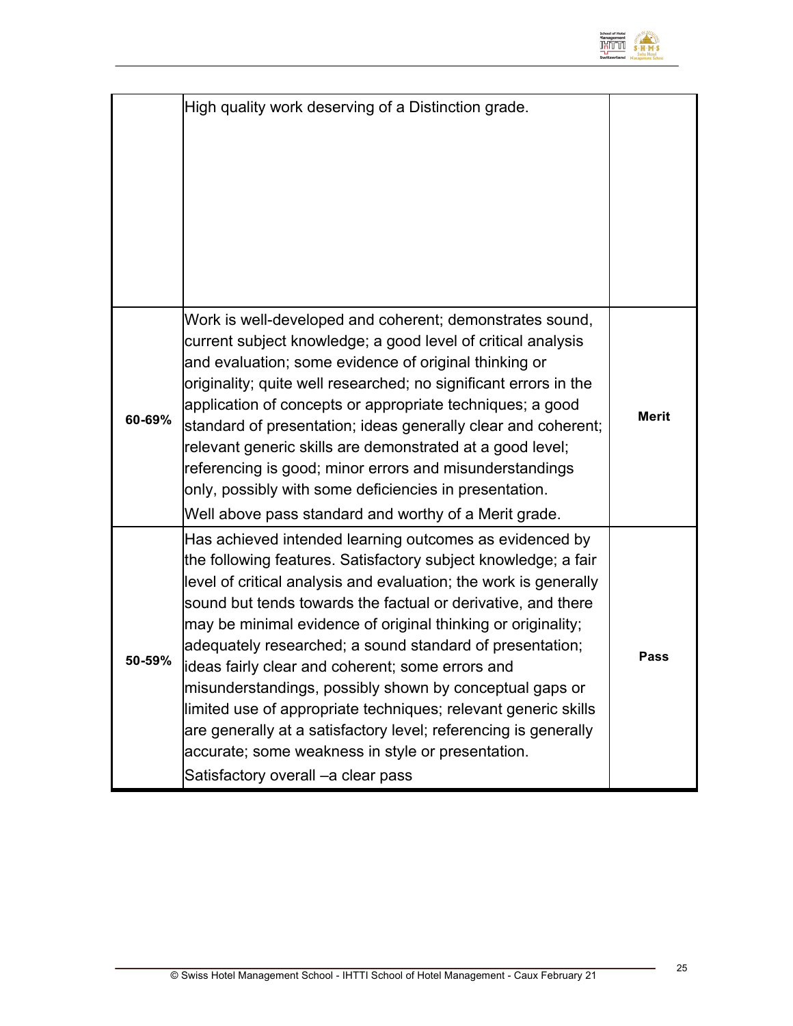

|        | High quality work deserving of a Distinction grade.                                                                                                                                                                                                                                                                                                                                                                                                                                                                                                                                                                                                                                                                                        |              |
|--------|--------------------------------------------------------------------------------------------------------------------------------------------------------------------------------------------------------------------------------------------------------------------------------------------------------------------------------------------------------------------------------------------------------------------------------------------------------------------------------------------------------------------------------------------------------------------------------------------------------------------------------------------------------------------------------------------------------------------------------------------|--------------|
| 60-69% | Work is well-developed and coherent; demonstrates sound,<br>current subject knowledge; a good level of critical analysis<br>and evaluation; some evidence of original thinking or<br>originality; quite well researched; no significant errors in the<br>application of concepts or appropriate techniques; a good<br>standard of presentation; ideas generally clear and coherent;<br>relevant generic skills are demonstrated at a good level;<br>referencing is good; minor errors and misunderstandings<br>only, possibly with some deficiencies in presentation.<br>Well above pass standard and worthy of a Merit grade.                                                                                                             | <b>Merit</b> |
| 50-59% | Has achieved intended learning outcomes as evidenced by<br>the following features. Satisfactory subject knowledge; a fair<br>level of critical analysis and evaluation; the work is generally<br>sound but tends towards the factual or derivative, and there<br>may be minimal evidence of original thinking or originality;<br>adequately researched; a sound standard of presentation;<br>lideas fairly clear and coherent; some errors and<br>misunderstandings, possibly shown by conceptual gaps or<br>limited use of appropriate techniques; relevant generic skills<br>are generally at a satisfactory level; referencing is generally<br>accurate; some weakness in style or presentation.<br>Satisfactory overall - a clear pass | <b>Pass</b>  |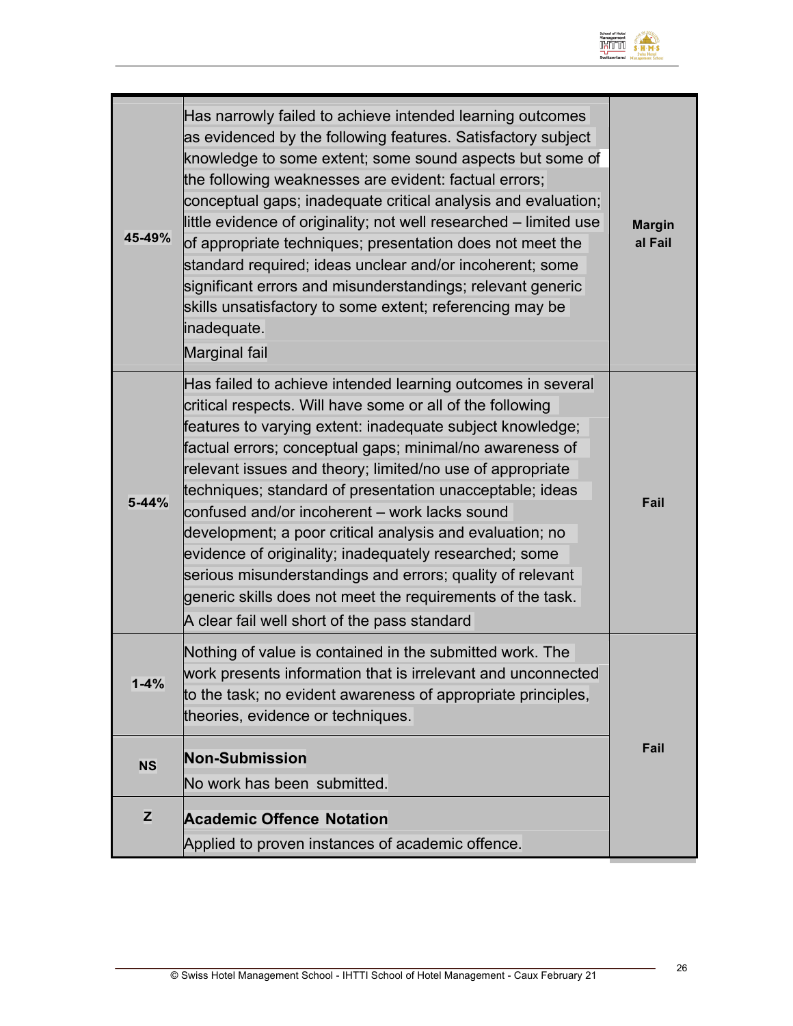

| 45-49%    | Has narrowly failed to achieve intended learning outcomes<br>as evidenced by the following features. Satisfactory subject<br>knowledge to some extent; some sound aspects but some of<br>the following weaknesses are evident: factual errors;<br>conceptual gaps; inadequate critical analysis and evaluation;<br>little evidence of originality; not well researched – limited use<br>of appropriate techniques; presentation does not meet the<br>standard required; ideas unclear and/or incoherent; some<br>significant errors and misunderstandings; relevant generic<br>skills unsatisfactory to some extent; referencing may be<br>inadequate.<br>Marginal fail                                                      | <b>Margin</b><br>al Fail |
|-----------|------------------------------------------------------------------------------------------------------------------------------------------------------------------------------------------------------------------------------------------------------------------------------------------------------------------------------------------------------------------------------------------------------------------------------------------------------------------------------------------------------------------------------------------------------------------------------------------------------------------------------------------------------------------------------------------------------------------------------|--------------------------|
| $5 - 44%$ | Has failed to achieve intended learning outcomes in several<br>critical respects. Will have some or all of the following<br>features to varying extent: inadequate subject knowledge;<br>factual errors; conceptual gaps; minimal/no awareness of<br>relevant issues and theory; limited/no use of appropriate<br>techniques; standard of presentation unacceptable; ideas<br>confused and/or incoherent - work lacks sound<br>development; a poor critical analysis and evaluation; no<br>evidence of originality; inadequately researched; some<br>serious misunderstandings and errors; quality of relevant<br>generic skills does not meet the requirements of the task.<br>A clear fail well short of the pass standard | Fail                     |
| $1 - 4%$  | Nothing of value is contained in the submitted work. The<br>work presents information that is irrelevant and unconnected<br>to the task; no evident awareness of appropriate principles,<br>theories, evidence or techniques.                                                                                                                                                                                                                                                                                                                                                                                                                                                                                                |                          |
| <b>NS</b> | <b>Non-Submission</b>                                                                                                                                                                                                                                                                                                                                                                                                                                                                                                                                                                                                                                                                                                        | Fail                     |
|           | No work has been submitted.                                                                                                                                                                                                                                                                                                                                                                                                                                                                                                                                                                                                                                                                                                  |                          |
| z         | <b>Academic Offence Notation</b>                                                                                                                                                                                                                                                                                                                                                                                                                                                                                                                                                                                                                                                                                             |                          |
|           | Applied to proven instances of academic offence.                                                                                                                                                                                                                                                                                                                                                                                                                                                                                                                                                                                                                                                                             |                          |